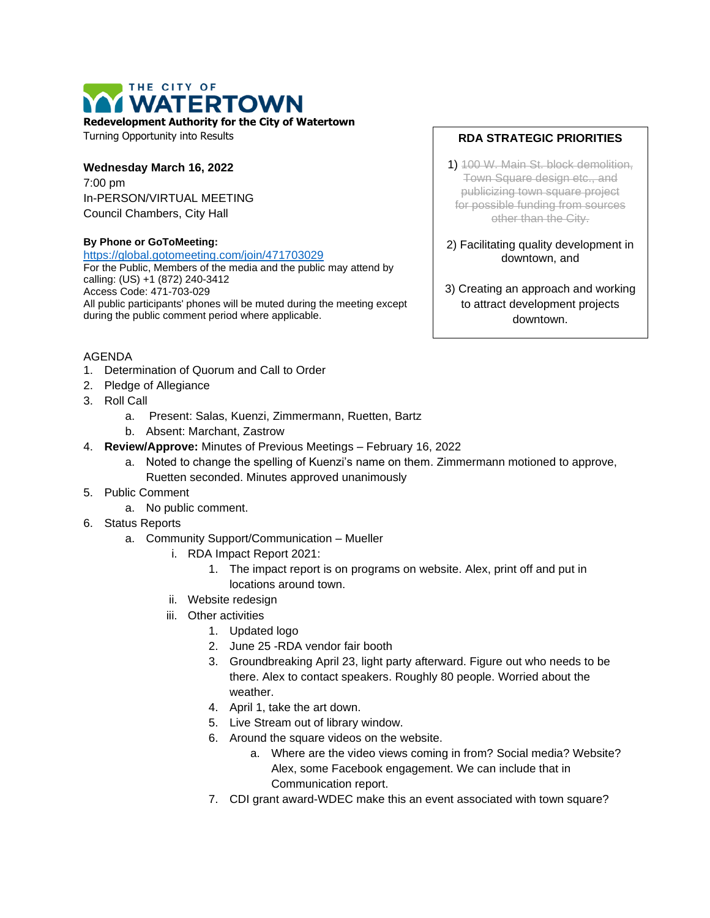# THE CITY OF **I WATERTOWN**

**Redevelopment Authority for the City of Watertown**

Turning Opportunity into Results

### **Wednesday March 16, 2022**

7:00 pm In-PERSON/VIRTUAL MEETING Council Chambers, City Hall

#### **By Phone or GoToMeeting:**

<https://global.gotomeeting.com/join/471703029> For the Public, Members of the media and the public may attend by calling: (US) +1 (872) 240-3412 Access Code: 471-703-029 All public participants' phones will be muted during the meeting except during the public comment period where applicable.

## AGENDA

- 1. Determination of Quorum and Call to Order
- 2. Pledge of Allegiance
- 3. Roll Call
	- a. Present: Salas, Kuenzi, Zimmermann, Ruetten, Bartz
	- b. Absent: Marchant, Zastrow
- 4. **Review/Approve:** Minutes of Previous Meetings February 16, 2022
	- a. Noted to change the spelling of Kuenzi's name on them. Zimmermann motioned to approve, Ruetten seconded. Minutes approved unanimously
- 5. Public Comment
	- a. No public comment.
- 6. Status Reports
	- a. Community Support/Communication Mueller
		- i. RDA Impact Report 2021:
			- 1. The impact report is on programs on website. Alex, print off and put in locations around town.
		- ii. Website redesign
		- iii. Other activities
			- 1. Updated logo
			- 2. June 25 -RDA vendor fair booth
			- 3. Groundbreaking April 23, light party afterward. Figure out who needs to be there. Alex to contact speakers. Roughly 80 people. Worried about the weather.
			- 4. April 1, take the art down.
			- 5. Live Stream out of library window.
			- 6. Around the square videos on the website.
				- a. Where are the video views coming in from? Social media? Website? Alex, some Facebook engagement. We can include that in Communication report.
			- 7. CDI grant award-WDEC make this an event associated with town square?

# **RDA STRATEGIC PRIORITIES**

- 1) 100 W. Main St. block demolition, Town Square design etc., and publicizing town square project for possible funding from sources other than the City.
- 2) Facilitating quality development in downtown, and
- 3) Creating an approach and working to attract development projects downtown.